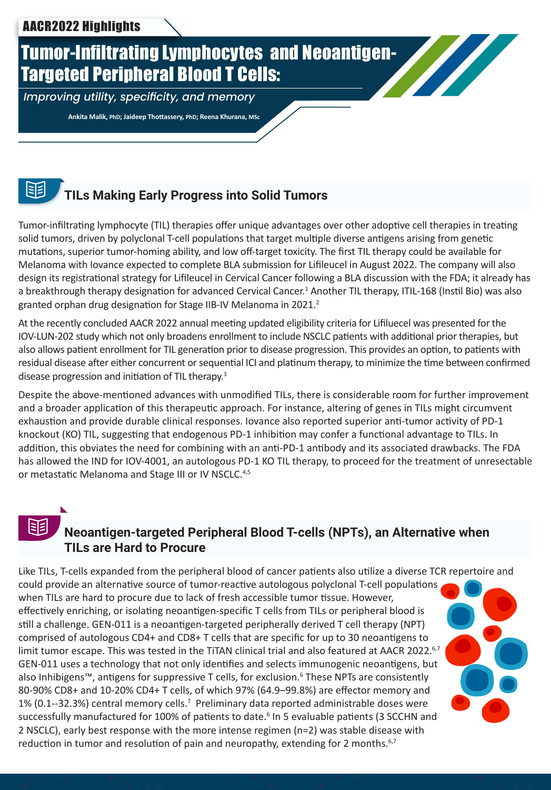# Tumor-Infiltrating Lymphocytes and Neoantigen-Targeted Peripheral Blood T Cells:

*Improving utility, specificity, and memory*

 **Ankita Malik, PhD; Jaideep Thottassery, PhD; Reena Khurana, MSc**

## **TILs Making Early Progress into Solid Tumors**

Tumor-infiltrating lymphocyte (TIL) therapies offer unique advantages over other adoptive cell therapies in treating solid tumors, driven by polyclonal T-cell populations that target multiple diverse antigens arising from genetic mutations, superior tumor-homing ability, and low off-target toxicity. The first TIL therapy could be available for Melanoma with Iovance expected to complete BLA submission for Lifileucel in August 2022. The company will also design its registrational strategy for Lifileucel in Cervical Cancer following a BLA discussion with the FDA; it already has a breakthrough therapy designation for advanced Cervical Cancer.<sup>1</sup> Another TIL therapy, ITIL-168 (Instil Bio) was also granted orphan drug designation for Stage IIB-IV Melanoma in 2021. $^2$ 

At the recently concluded AACR 2022 annual meeting updated eligibility criteria for Lifiluecel was presented for the IOV-LUN-202 study which not only broadens enrollment to include NSCLC patients with additional prior therapies, but also allows patient enrollment for TIL generation prior to disease progression. This provides an option, to patients with residual disease after either concurrent or sequential ICI and platinum therapy, to minimize the time between confirmed disease progression and initiation of TIL therapy.<sup>3</sup>

Despite the above-mentioned advances with unmodified TILs, there is considerable room for further improvement and a broader application of this therapeutic approach. For instance, altering of genes in TILs might circumvent exhaustion and provide durable clinical responses. Iovance also reported superior anti-tumor activity of PD-1 knockout (KO) TIL, suggesting that endogenous PD-1 inhibition may confer a functional advantage to TILs. In addition, this obviates the need for combining with an anti-PD-1 antibody and its associated drawbacks. The FDA has allowed the IND for IOV-4001, an autologous PD-1 KO TIL therapy, to proceed for the treatment of unresectable or metastatic Melanoma and Stage III or IV NSCLC.<sup>4,5</sup>

泪

## **Neoantigen-targeted Peripheral Blood T-cells (NPTs), an Alternative when TILs are Hard to Procure**

Like TILs, T-cells expanded from the peripheral blood of cancer patients also utilize a diverse TCR repertoire and could provide an alternative source of tumor-reactive autologous polyclonal T-cell populations when TILs are hard to procure due to lack of fresh accessible tumor tissue. However, effectively enriching, or isolating neoantigen-specific T cells from TILs or peripheral blood is still a challenge. GEN-011 is a neoantigen-targeted peripherally derived T cell therapy (NPT) comprised of autologous CD4+ and CD8+ T cells that are specific for up to 30 neoantigens to limit tumor escape. This was tested in the TiTAN clinical trial and also featured at AACR 2022.<sup>6,7</sup> GEN-011 uses a technology that not only identifies and selects immunogenic neoantigens, but also Inhibigens™, antigens for suppressive T cells, for exclusion.<sup>6</sup> These NPTs are consistently 80-90% CD8+ and 10-20% CD4+ T cells, of which 97% (64.9–99.8%) are effector memory and 1% (0.1--32.3%) central memory cells.<sup>7</sup> Preliminary data reported administrable doses were successfully manufactured for 100% of patients to date.<sup>6</sup> In 5 evaluable patients (3 SCCHN and 2 NSCLC), early best response with the more intense regimen (n=2) was stable disease with reduction in tumor and resolution of pain and neuropathy, extending for 2 months. $6,7$